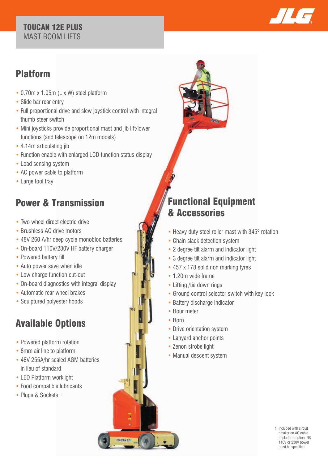#### TOUCAN 12E PLUS MAST BOOM LIFTS



### Platform

- 0.70m x 1.05m (L x W) steel platform
- Slide bar rear entry
- Full proportional drive and slew joystick control with integral thumb steer switch
- Mini joysticks provide proportional mast and jib lift/lower functions (and telescope on 12m models)
- 4.14m articulating jib
- Function enable with enlarged LCD function status display
- Load sensing system
- AC power cable to platform
- Large tool tray

# Power & Transmission

- Two wheel direct electric drive
- Brushless AC drive motors
- 48V 260 A/hr deep cycle monobloc batteries
- On-board 110V/230V HF battery charger
- Powered battery fill
- Auto power save when idle
- Low charge function cut-out
- On-board diagnostics with integral display
- Automatic rear wheel brakes
- Sculptured polyester hoods

# Available Options

- Powered platform rotation
- 8mm air line to platform
- 48V 255A/hr sealed AGM batteries in lieu of standard
- LED Platform worklight
- Food compatible lubricants
- Plugs & Sockets<sup>1</sup>



## Functional Equipment & Accessories

- Heavy duty steel roller mast with 345° rotation
- Chain slack detection system
- 2 degree tilt alarm and indicator light
- 3 degree tilt alarm and indicator light
- 457 x 178 solid non marking tyres
- 1.20m wide frame
- Lifting /tie down rings
- Ground control selector switch with key lock
- Battery discharge indicator
- Hour meter
- Horn

TOUCAN 12

- Drive orientation system
- Lanyard anchor points
- Zenon strobe light
- Manual descent system

1 Included with circuit breaker on AC cable to platform option. NB 110V or 230V power must be specified